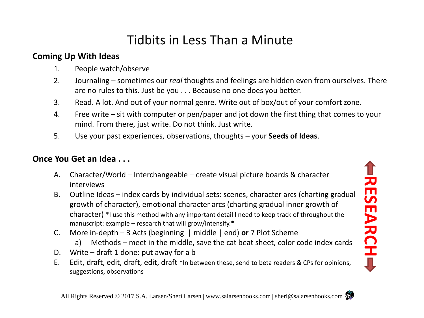## Tidbits in Less Than a Minute

## **Coming Up With Ideas**

- 1. People watch/observe
- 2. Journaling sometimes our *real* thoughts and feelings are hidden even from ourselves. There are no rules to this. Just be you . . . Because no one does you better.
- 3. Read. A lot. And out of your normal genre. Write out of box/out of your comfort zone.
- 4. Free write sit with computer or pen/paper and jot down the first thing that comes to your mind. From there, just write. Do not think. Just write.
- 5. Use your past experiences, observations, thoughts your **Seeds of Ideas**.

## **Once You Get an Idea . . .**

- A. Character/World Interchangeable create visual picture boards & character interviews
- B. Outline Ideas index cards by individual sets: scenes, character arcs (charting gradual growth of character), emotional character arcs (charting gradual inner growth of character) \*I use this method with any important detail I need to keep track of throughout the manuscript: example – research that will grow/intensify.\*
- C. More in-depth 3 Acts (beginning | middle | end) **or** 7 Plot Scheme
	- a) Methods meet in the middle, save the cat beat sheet, color code index cards
- D. Write  $-$  draft 1 done: put away for a b
- E. Edit, draft, edit, draft, edit, draft \*In between these, send to beta readers & CPs for opinions, suggestions, observations

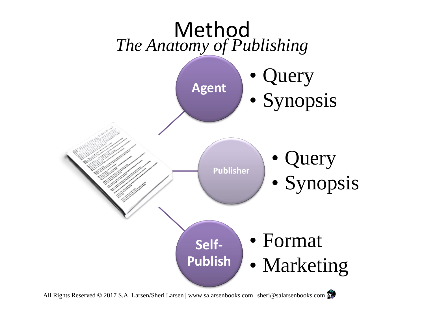

All Rights Reserved © 2017 S.A. Larsen/Sheri Larsen | www.salarsenbooks.com | sheri@salarsenbooks.com